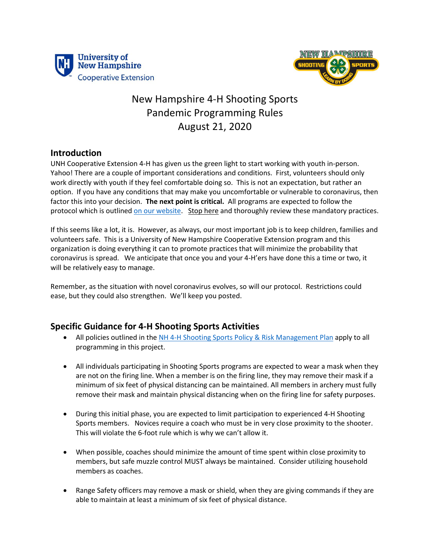



## New Hampshire 4-H Shooting Sports Pandemic Programming Rules August 21, 2020

## **Introduction**

UNH Cooperative Extension 4-H has given us the green light to start working with youth in-person. Yahoo! There are a couple of important considerations and conditions. First, volunteers should only work directly with youth if they feel comfortable doing so. This is not an expectation, but rather an option. If you have any conditions that may make you uncomfortable or vulnerable to coronavirus, then factor this into your decision. **The next point is critical.** All programs are expected to follow the protocol which is outline[d on our website.](https://extension.unh.edu/resource/covid-19-protocols-4-h-volunteers?utm_source=AdaptiveMailer&utm_medium=email&utm_campaign=NH%204-H%20Community%20Update&org=785&lvl=100&ite=13207&lea=3500186&ctr=0&par=1&trk=a0W6f00000VCqoeEAD) Stop here and thoroughly review these mandatory practices.

If this seems like a lot, it is. However, as always, our most important job is to keep children, families and volunteers safe. This is a University of New Hampshire Cooperative Extension program and this organization is doing everything it can to promote practices that will minimize the probability that coronavirus is spread. We anticipate that once you and your 4-H'ers have done this a time or two, it will be relatively easy to manage.

Remember, as the situation with novel coronavirus evolves, so will our protocol. Restrictions could ease, but they could also strengthen. We'll keep you posted.

## **Specific Guidance for 4-H Shooting Sports Activities**

- All policies outlined in the [NH 4-H Shooting Sports Policy & Risk Management Plan](https://extension.unh.edu/resources/files/Resource002446_Rep3579.pdf) apply to all programming in this project.
- All individuals participating in Shooting Sports programs are expected to wear a mask when they are not on the firing line. When a member is on the firing line, they may remove their mask if a minimum of six feet of physical distancing can be maintained. All members in archery must fully remove their mask and maintain physical distancing when on the firing line for safety purposes.
- During this initial phase, you are expected to limit participation to experienced 4-H Shooting Sports members. Novices require a coach who must be in very close proximity to the shooter. This will violate the 6-foot rule which is why we can't allow it.
- When possible, coaches should minimize the amount of time spent within close proximity to members, but safe muzzle control MUST always be maintained. Consider utilizing household members as coaches.
- Range Safety officers may remove a mask or shield, when they are giving commands if they are able to maintain at least a minimum of six feet of physical distance.